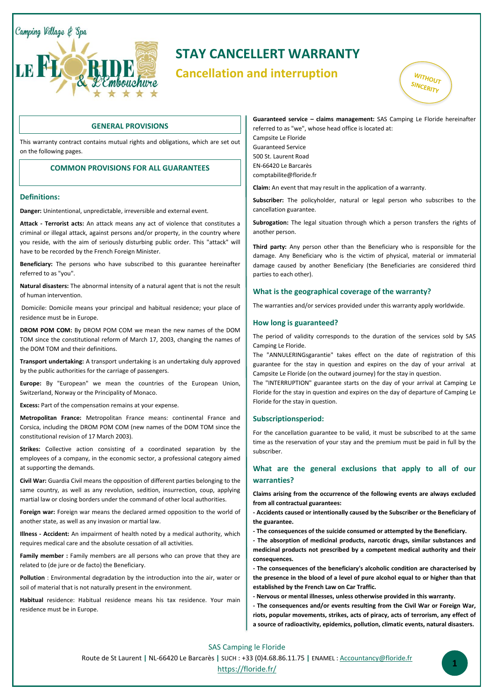Camping Village & Spa



# **STAY CANCELLERT WARRANTY**

# **Cancellation and interruption**



### **GENERAL PROVISIONS**

This warranty contract contains mutual rights and obligations, which are set out on the following pages.

### **COMMON PROVISIONS FOR ALL GUARANTEES**

### **Definitions:**

 $\overline{a}$ 

**Danger:** Unintentional, unpredictable, irreversible and external event.

**Attack - Terrorist acts:** An attack means any act of violence that constitutes a criminal or illegal attack, against persons and/or property, in the country where you reside, with the aim of seriously disturbing public order. This "attack" will have to be recorded by the French Foreign Minister.

**Beneficiary:** The persons who have subscribed to this guarantee hereinafter referred to as "you".

**Natural disasters:** The abnormal intensity of a natural agent that is not the result of human intervention.

Domicile: Domicile means your principal and habitual residence; your place of residence must be in Europe.

**DROM POM COM:** By DROM POM COM we mean the new names of the DOM TOM since the constitutional reform of March 17, 2003, changing the names of the DOM TOM and their definitions.

**Transport undertaking:** A transport undertaking is an undertaking duly approved by the public authorities for the carriage of passengers.

**Europe:** By "European" we mean the countries of the European Union, Switzerland, Norway or the Principality of Monaco.

**Excess:** Part of the compensation remains at your expense.

**Metropolitan France:** Metropolitan France means: continental France and Corsica, including the DROM POM COM (new names of the DOM TOM since the constitutional revision of 17 March 2003).

**Strikes:** Collective action consisting of a coordinated separation by the employees of a company, in the economic sector, a professional category aimed at supporting the demands.

**Civil War:** Guardia Civil means the opposition of different parties belonging to the same country, as well as any revolution, sedition, insurrection, coup, applying martial law or closing borders under the command of other local authorities.

**Foreign war:** Foreign war means the declared armed opposition to the world of another state, as well as any invasion or martial law.

**Illness - Accident:** An impairment of health noted by a medical authority, which requires medical care and the absolute cessation of all activities.

**Family member :** Family members are all persons who can prove that they are related to (de jure or de facto) the Beneficiary.

**Pollution** : Environmental degradation by the introduction into the air, water or soil of material that is not naturally present in the environment.

**Habitual** residence: Habitual residence means his tax residence. Your main residence must be in Europe.

### **Guaranteed service – claims management:** SAS Camping Le Floride hereinafter referred to as "we", whose head office is located at:

Campsite Le Floride Guaranteed Service 500 St. Laurent Road EN-66420 Le Barcarès comptabilite@floride.fr

**Claim:** An event that may result in the application of a warranty.

**Subscriber:** The policyholder, natural or legal person who subscribes to the cancellation guarantee.

**Subrogation:** The legal situation through which a person transfers the rights of another person.

**Third party:** Any person other than the Beneficiary who is responsible for the damage. Any Beneficiary who is the victim of physical, material or immaterial damage caused by another Beneficiary (the Beneficiaries are considered third parties to each other).

### **What is the geographical coverage of the warranty?**

The warranties and/or services provided under this warranty apply worldwide.

### **How long is guaranteed?**

The period of validity corresponds to the duration of the services sold by SAS Camping Le Floride.

The "ANNULERINGsgarantie" takes effect on the date of registration of this guarantee for the stay in question and expires on the day of your arrival at Campsite Le Floride (on the outward journey) for the stay in question.

The "INTERRUPTION" guarantee starts on the day of your arrival at Camping Le Floride for the stay in question and expires on the day of departure of Camping Le Floride for the stay in question.

#### **Subscriptionsperiod:**

For the cancellation guarantee to be valid, it must be subscribed to at the same time as the reservation of your stay and the premium must be paid in full by the subscriber.

## **What are the general exclusions that apply to all of our warranties?**

**Claims arising from the occurrence of the following events are always excluded from all contractual guarantees:** 

**- Accidents caused or intentionally caused by the Subscriber or the Beneficiary of the guarantee.**

**- The consequences of the suicide consumed or attempted by the Beneficiary.**

**- The absorption of medicinal products, narcotic drugs, similar substances and medicinal products not prescribed by a competent medical authority and their consequences.**

**- The consequences of the beneficiary's alcoholic condition are characterised by the presence in the blood of a level of pure alcohol equal to or higher than that established by the French Law on Car Traffic.**

**- Nervous or mental illnesses, unless otherwise provided in this warranty.**

**- The consequences and/or events resulting from the Civil War or Foreign War, riots, popular movements, strikes, acts of piracy, acts of terrorism, any effect of a source of radioactivity, epidemics, pollution, climatic events, natural disasters.**

SAS Camping le Floride Route de St Laurent **|** NL-66420 Le Barcarès **|** SUCH : +33 (0)4.68.86.11.75 **|** ENAMEL : [Accountancy@floride.fr](mailto:direction@floride.fr) <https://floride.fr/> **<sup>1</sup>**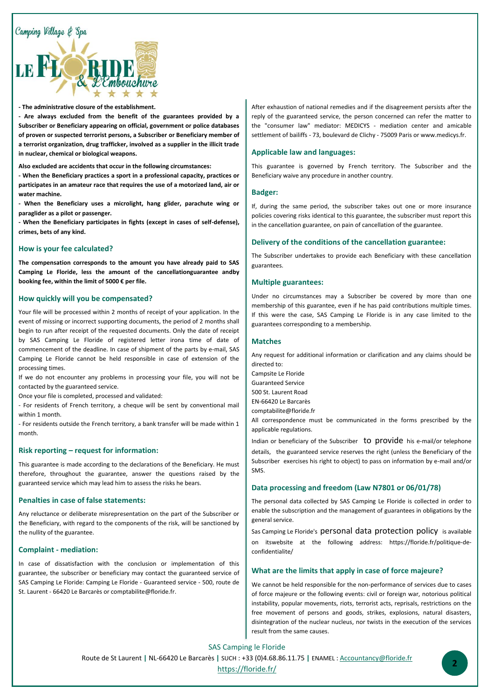

#### **- The administrative closure of the establishment.**

**- Are always excluded from the benefit of the guarantees provided by a Subscriber or Beneficiary appearing on official, government or police databases of proven or suspected terrorist persons, a Subscriber or Beneficiary member of a terrorist organization, drug trafficker, involved as a supplier in the illicit trade in nuclear, chemical or biological weapons.**

**Also excluded are accidents that occur in the following circumstances:** 

**- When the Beneficiary practices a sport in a professional capacity, practices or participates in an amateur race that requires the use of a motorized land, air or water machine.**

**- When the Beneficiary uses a microlight, hang glider, parachute wing or paraglider as a pilot or passenger.**

**- When the Beneficiary participates in fights (except in cases of self-defense), crimes, bets of any kind.**

#### **How is your fee calculated?**

**The compensation corresponds to the amount you have already paid to SAS Camping Le Floride, less the amount of the cancellationguarantee andby booking fee, within the limit of 5000 € per file.**

### **How quickly will you be compensated?**

Your file will be processed within 2 months of receipt of your application. In the event of missing or incorrect supporting documents, the period of 2 months shall begin to run after receipt of the requested documents. Only the date of receipt by SAS Camping Le Floride of registered letter irona time of date of commencement of the deadline. In case of shipment of the parts by e-mail, SAS Camping Le Floride cannot be held responsible in case of extension of the processing times.

If we do not encounter any problems in processing your file, you will not be contacted by the guaranteed service.

Once your file is completed, processed and validated:

- For residents of French territory, a cheque will be sent by conventional mail within 1 month.

- For residents outside the French territory, a bank transfer will be made within 1 month.

### **Risk reporting – request for information:**

This guarantee is made according to the declarations of the Beneficiary. He must therefore, throughout the guarantee, answer the questions raised by the guaranteed service which may lead him to assess the risks he bears.

#### **Penalties in case of false statements:**

Any reluctance or deliberate misrepresentation on the part of the Subscriber or the Beneficiary, with regard to the components of the risk, will be sanctioned by the nullity of the guarantee.

#### **Complaint - mediation:**

In case of dissatisfaction with the conclusion or implementation of this guarantee, the subscriber or beneficiary may contact the guaranteed service of SAS Camping Le Floride: Camping Le Floride - Guaranteed service - 500, route de St. Laurent - 66420 Le Barcarès or comptabilite@floride.fr.

After exhaustion of national remedies and if the disagreement persists after the reply of the guaranteed service, the person concerned can refer the matter to the "consumer law" mediator: MEDICYS - mediation center and amicable settlement of bailiffs - 73, boulevard de Clichy - 75009 Paris or www.medicys.fr.

#### **Applicable law and languages:**

This guarantee is governed by French territory. The Subscriber and the Beneficiary waive any procedure in another country.

#### **Badger:**

If, during the same period, the subscriber takes out one or more insurance policies covering risks identical to this guarantee, the subscriber must report this in the cancellation guarantee, on pain of cancellation of the guarantee.

### **Delivery of the conditions of the cancellation guarantee:**

The Subscriber undertakes to provide each Beneficiary with these cancellation guarantees.

#### **Multiple guarantees:**

Under no circumstances may a Subscriber be covered by more than one membership of this guarantee, even if he has paid contributions multiple times. If this were the case, SAS Camping Le Floride is in any case limited to the guarantees corresponding to a membership.

#### **Matches**

Any request for additional information or clarification and any claims should be directed to:

- Campsite Le Floride
- Guaranteed Service

500 St. Laurent Road

EN-66420 Le Barcarès

comptabilite@floride.fr

All correspondence must be communicated in the forms prescribed by the applicable regulations.

Indian or beneficiary of the Subscriber to provide his e-mail/or telephone details, the guaranteed service reserves the right (unless the Beneficiary of the Subscriber exercises his right to object) to pass on information by e-mail and/or SMS.

### **Data processing and freedom (Law N7801 or 06/01/78)**

The personal data collected by SAS Camping Le Floride is collected in order to enable the subscription and the management of guarantees in obligations by the general service.

Sas Camping Le Floride's personal data protection policy is available on itswebsite at the following address: https://floride.fr/politique-deconfidentialite/

### **What are the limits that apply in case of force majeure?**

We cannot be held responsible for the non-performance of services due to cases of force majeure or the following events: civil or foreign war, notorious political instability, popular movements, riots, terrorist acts, reprisals, restrictions on the free movement of persons and goods, strikes, explosions, natural disasters, disintegration of the nuclear nucleus, nor twists in the execution of the services result from the same causes.

SAS Camping le Floride Route de St Laurent **|** NL-66420 Le Barcarès **|** SUCH : +33 (0)4.68.86.11.75 **|** ENAMEL : [Accountancy@floride.fr](mailto:direction@floride.fr) <https://floride.fr/> **<sup>2</sup>**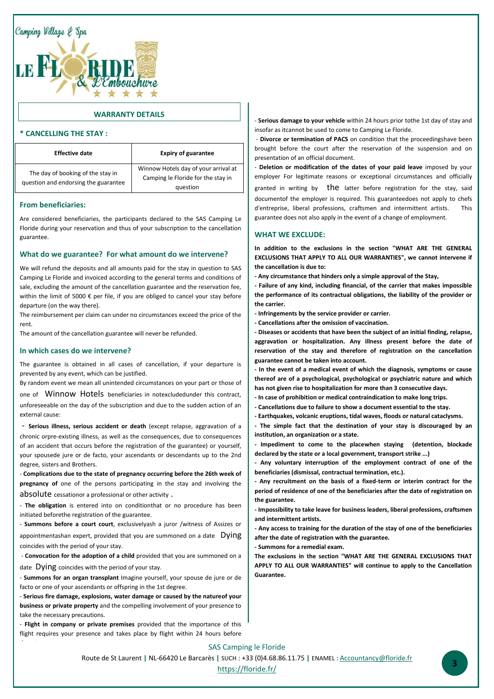

### **WARRANTY DETAILS**

### **\* CANCELLING THE STAY :**

| <b>Effective date</b>                                                     | <b>Expiry of guarantee</b>                                                             |
|---------------------------------------------------------------------------|----------------------------------------------------------------------------------------|
| The day of booking of the stay in<br>question and endorsing the guarantee | Winnow Hotels day of your arrival at<br>Camping le Floride for the stay in<br>question |

### **From beneficiaries:**

Are considered beneficiaries, the participants declared to the SAS Camping Le Floride during your reservation and thus of your subscription to the cancellation guarantee.

### **What do we guarantee? For what amount do we intervene?**

We will refund the deposits and all amounts paid for the stay in question to SAS Camping Le Floride and invoiced according to the general terms and conditions of sale, excluding the amount of the cancellation guarantee and the reservation fee, within the limit of 5000 € per file, if you are obliged to cancel your stay before departure (on the way there).

The reimbursement per claim can under no circumstances exceed the price of the rent.

The amount of the cancellation guarantee will never be refunded.

### **In which cases do we intervene?**

 The guarantee is obtained in all cases of cancellation, if your departure is prevented by any event, which can be justified.

By random event we mean all unintended circumstances on your part or those of

one of Winnow Hotels beneficiaries in notexcludedunder this contract, unforeseeable on the day of the subscription and due to the sudden action of an external cause:

- **Serious illness, serious accident or death** (except relapse, aggravation of a chronic orpre-existing illness, as well as the consequences, due to consequences of an accident that occurs before the registration of the guarantee) or yourself, your spousede jure or de facto, your ascendants or descendants up to the 2nd degree, sisters and Brothers.

- **Complications due to the state of pregnancy occurring before the 26th week of pregnancy of** one of the persons participating in the stay and involving the absolute cessationor a professional or other activity .

- **The obligation** is entered into on conditionthat or no procedure has been initiated beforethe registration of the guarantee.

- **Summons before a court court**, exclusivelyash a juror /witness of Assizes or appointmentashan expert, provided that you are summoned on a date Dying coincides with the period of your stay.

- **Convocation for the adoption of a child** provided that you are summoned on a date Dying coincides with the period of your stay.

- **Summons for an organ transplant** Imagine yourself, your spouse de jure or de facto or one of your ascendants or offspring in the 1st degree.

- **Serious fire damage, explosions, water damage or caused by the natureof your business or private property** and the compelling involvement of your presence to take the necessary precautions.

- **Flight in company or private premises** provided that the importance of this flight requires your presence and takes place by flight within 24 hours before

- **Serious damage to your vehicle** within 24 hours prior tothe 1st day of stay and insofar as itcannot be used to come to Camping Le Floride.

- **Divorce or termination of PACS** on condition that the proceedingshave been brought before the court after the reservation of the suspension and on presentation of an official document.

- **Deletion or modification of the dates of your paid leave** imposed by your employer For legitimate reasons or exceptional circumstances and officially granted in writing by  $the$  latter before registration for the stay, said documentof the employer is required. This guaranteedoes not apply to chefs d'entreprise, liberal professions, craftsmen and intermittent artists. This guarantee does not also apply in the event of a change of employment.

### **WHAT WE EXCLUDE:**

**In addition to the exclusions in the section "WHAT ARE THE GENERAL EXCLUSIONS THAT APPLY TO ALL OUR WARRANTIES", we cannot intervene if the cancellation is due to:**

**- Any circumstance that hinders only a simple approval of the Stay,**

- **- Failure of any kind, including financial, of the carrier that makes impossible the performance of its contractual obligations, the liability of the provider or the carrier.**
- **- Infringements by the service provider or carrier.**
- **- Cancellations after the omission of vaccination.**

**- Diseases or accidents that have been the subject of an initial finding, relapse, aggravation or hospitalization. Any illness present before the date of reservation of the stay and therefore of registration on the cancellation guarantee cannot be taken into account.**

**- In the event of a medical event of which the diagnosis, symptoms or cause thereof are of a psychological, psychological or psychiatric nature and which has not given rise to hospitalization for more than 3 consecutive days.**

- **- In case of prohibition or medical contraindication to make long trips.**
- **- Cancellations due to failure to show a document essential to the stay.**
- **- Earthquakes, volcanic eruptions, tidal waves, floods or natural cataclysms.**

**- The simple fact that the destination of your stay is discouraged by an institution, an organization or a state.**

**- Impediment to come to the placewhen staying (detention, blockade declared by the state or a local government, transport strike ...)**

**- Any voluntary interruption of the employment contract of one of the beneficiaries (dismissal, contractual termination, etc.).**

**- Any recruitment on the basis of a fixed-term or interim contract for the period of residence of one of the beneficiaries after the date of registration on the guarantee.**

**- Impossibility to take leave for business leaders, liberal professions, craftsmen and intermittent artists.**

**- Any access to training for the duration of the stay of one of the beneficiaries after the date of registration with the guarantee.**

**- Summons for a remedial exam.**

**The exclusions in the section "WHAT ARE THE GENERAL EXCLUSIONS THAT APPLY TO ALL OUR WARRANTIES" will continue to apply to the Cancellation Guarantee.**

#### SAS Camping le Floride

Route de St Laurent **|** NL-66420 Le Barcarès **|** SUCH : +33 (0)4.68.86.11.75 **|** ENAMEL : [Accountancy@floride.fr](mailto:direction@floride.fr)

<https://floride.fr/> **<sup>3</sup>**